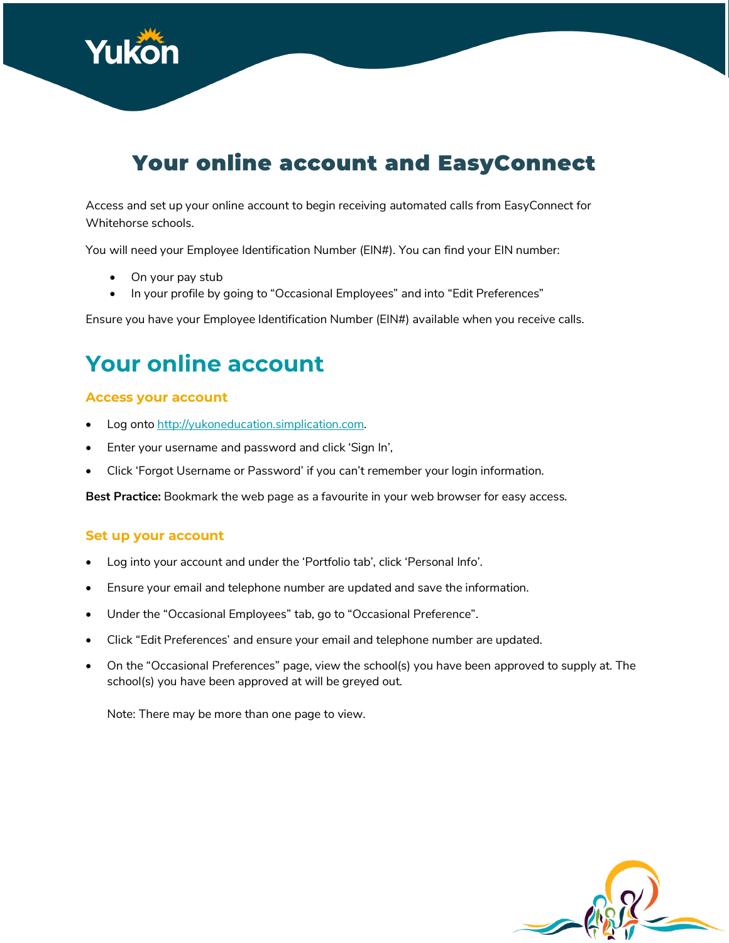

# Your online account and EasyConnect

Access and set up your online account to begin receiving automated calls from EasyConnect for Whitehorse schools.

You will need your Employee Identification Number (EIN#). You can find your EIN number:

- On your pay stub
- In your profile by going to "Occasional Employees" and into "Edit Preferences"

Ensure you have your Employee Identification Number (EIN#) available when you receive calls.

# **Your online account**

#### **Access your account**

- Log onto http://yukoneducation.simplication.com.
- Enter your username and password and click 'Sign In',
- Click 'Forgot Username or Password' if you can't remember your login information.

**Best Practice:** Bookmark the web page as a favourite in your web browser for easy access.

#### **Set up your account**

- Log into your account and under the 'Portfolio tab', click 'Personal Info'.
- Ensure your email and telephone number are updated and save the information.
- Under the "Occasional Employees" tab, go to "Occasional Preference".
- Click "Edit Preferences' and ensure your email and telephone number are updated.
- On the "Occasional Preferences" page, view the school(s) you have been approved to supply at. The school(s) you have been approved at will be greyed out.

Note: There may be more than one page to view.

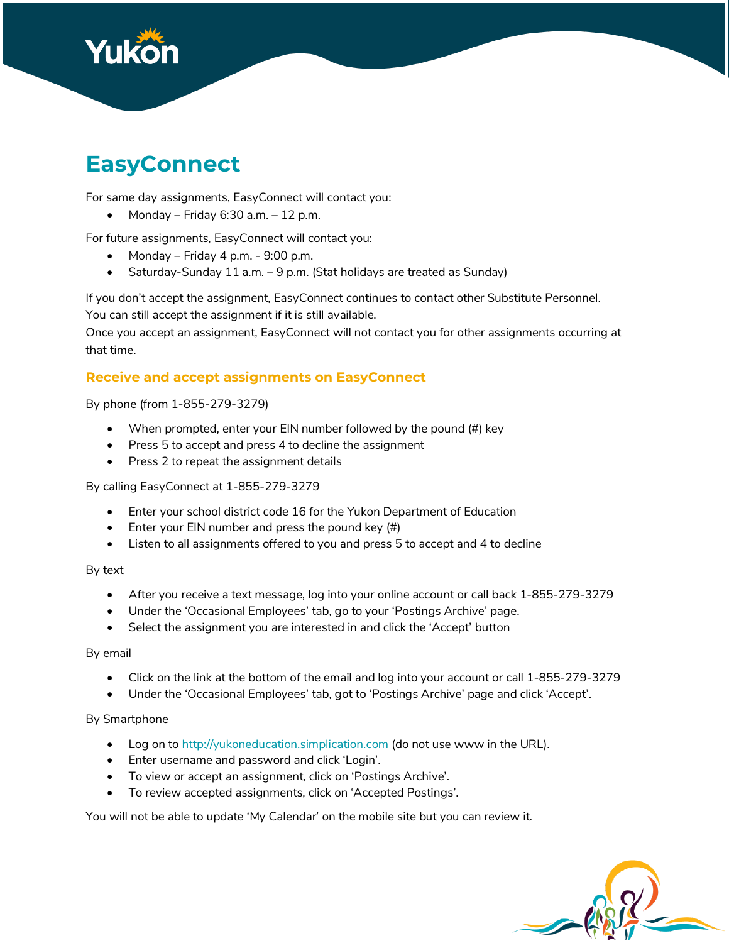

# **EasyConnect**

For same day assignments, EasyConnect will contact you:

• Monday – Friday 6:30 a.m. – 12 p.m.

For future assignments, EasyConnect will contact you:

- Monday Friday 4 p.m.  $9:00$  p.m.
- Saturday-Sunday 11 a.m. 9 p.m. (Stat holidays are treated as Sunday)

If you don't accept the assignment, EasyConnect continues to contact other Substitute Personnel. You can still accept the assignment if it is still available.

Once you accept an assignment, EasyConnect will not contact you for other assignments occurring at that time.

#### **Receive and accept assignments on EasyConnect**

By phone (from 1-855-279-3279)

- When prompted, enter your EIN number followed by the pound (#) key
- Press 5 to accept and press 4 to decline the assignment
- Press 2 to repeat the assignment details

By calling EasyConnect at 1-855-279-3279

- Enter your school district code 16 for the Yukon Department of Education
- Enter your EIN number and press the pound key (#)
- Listen to all assignments offered to you and press 5 to accept and 4 to decline

By text

- After you receive a text message, log into your online account or call back 1-855-279-3279
- Under the 'Occasional Employees' tab, go to your 'Postings Archive' page.
- Select the assignment you are interested in and click the 'Accept' button

By email

- Click on the link at the bottom of the email and log into your account or call 1-855-279-3279
- Under the 'Occasional Employees' tab, got to 'Postings Archive' page and click 'Accept'.

#### By Smartphone

- Log on to http://yukoneducation.simplication.com (do not use www in the URL).
- Enter username and password and click 'Login'.
- To view or accept an assignment, click on 'Postings Archive'.
- To review accepted assignments, click on 'Accepted Postings'.

You will not be able to update 'My Calendar' on the mobile site but you can review it.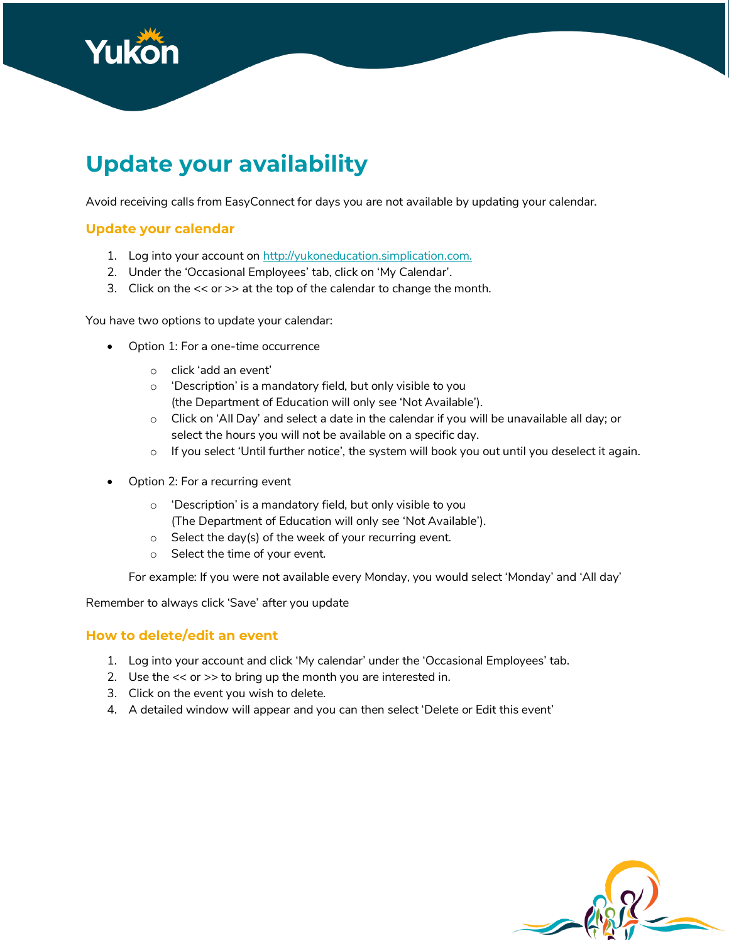

# **Update your availability**

Avoid receiving calls from EasyConnect for days you are not available by updating your calendar.

### **Update your calendar**

- 1. Log into your account on http://yukoneducation.simplication.com.
- 2. Under the 'Occasional Employees' tab, click on 'My Calendar'.
- 3. Click on the << or >> at the top of the calendar to change the month.

You have two options to update your calendar:

- Option 1: For a one-time occurrence
	- o click 'add an event'
	- o 'Description' is a mandatory field, but only visible to you (the Department of Education will only see 'Not Available').
	- o Click on 'All Day' and select a date in the calendar if you will be unavailable all day; or select the hours you will not be available on a specific day.
	- o If you select 'Until further notice', the system will book you out until you deselect it again.
- Option 2: For a recurring event
	- o 'Description' is a mandatory field, but only visible to you (The Department of Education will only see 'Not Available').
	- o Select the day(s) of the week of your recurring event.
	- o Select the time of your event.

For example: If you were not available every Monday, you would select 'Monday' and 'All day'

Remember to always click 'Save' after you update

#### **How to delete/edit an event**

- 1. Log into your account and click 'My calendar' under the 'Occasional Employees' tab.
- 2. Use the  $<<$  or  $>>$  to bring up the month you are interested in.
- 3. Click on the event you wish to delete.
- 4. A detailed window will appear and you can then select 'Delete or Edit this event'